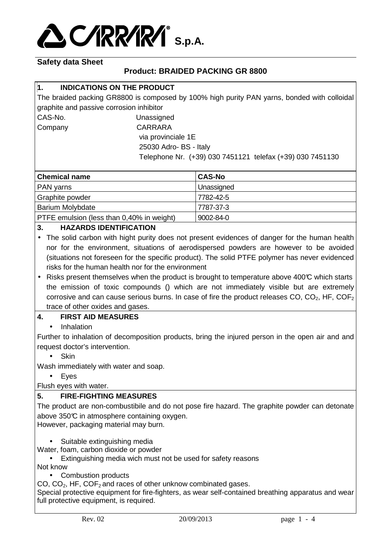

# **Product: BRAIDED PACKING GR 8800**

## **1. INDICATIONS ON THE PRODUCT**

The braided packing GR8800 is composed by 100% high purity PAN yarns, bonded with colloidal graphite and passive corrosion inhibitor CAS-No. Unassigned

# Company CARRARA via provinciale 1E

25030 Adro- BS - Italy

Telephone Nr. (+39) 030 7451121 telefax (+39) 030 7451130

| <b>Chemical name</b>                             | <b>CAS-No</b> |
|--------------------------------------------------|---------------|
| <b>PAN</b> yarns                                 | Unassigned    |
| Graphite powder                                  | 7782-42-5     |
| <b>Barium Molybdate</b>                          | 7787-37-3     |
| <b>PTFE</b> emulsion (less than 0,40% in weight) | 9002-84-0     |

### **3. HAZARDS IDENTIFICATION**

- The solid carbon with hight purity does not present evidences of danger for the human health nor for the environment, situations of aerodispersed powders are however to be avoided (situations not foreseen for the specific product). The solid PTFE polymer has never evidenced risks for the human health nor for the environment
- Risks present themselves when the product is brought to temperature above 400°C which starts the emission of toxic compounds () which are not immediately visible but are extremely corrosive and can cause serious burns. In case of fire the product releases CO,  $CO<sub>2</sub>$ , HF,  $COF<sub>2</sub>$ trace of other oxides and gases.

## **4. FIRST AID MEASURES**

• Inhalation

Further to inhalation of decomposition products, bring the injured person in the open air and and request doctor's intervention.

• Skin

- Wash immediately with water and soap.
	- Eyes

Flush eyes with water.

## **5. FIRE-FIGHTING MEASURES**

The product are non-combustibile and do not pose fire hazard. The graphite powder can detonate above 350°C in atmosphere containing oxygen.

However, packaging material may burn.

- Suitable extinguishing media
- Water, foam, carbon dioxide or powder
- Extinguishing media wich must not be used for safety reasons

Not know

• Combustion products

CO,  $CO<sub>2</sub>$ , HF,  $COF<sub>2</sub>$  and races of other unknow combinated gases.

Special protective equipment for fire-fighters, as wear self-contained breathing apparatus and wear full protective equipment, is required.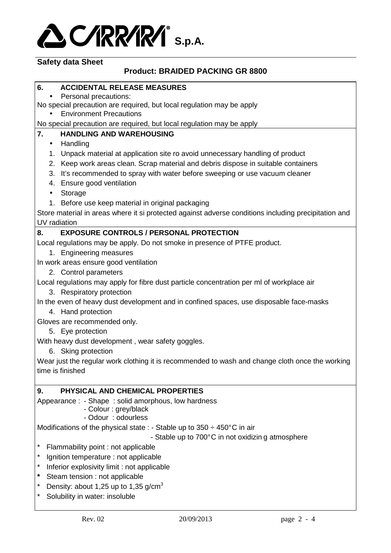

## **Product: BRAIDED PACKING GR 8800**

## **6. ACCIDENTAL RELEASE MEASURES**

Personal precautions:

No special precaution are required, but local regulation may be apply

• Environment Precautions

No special precaution are required, but local regulation may be apply

### **7. HANDLING AND WAREHOUSING**

- Handling
- 1. Unpack material at application site ro avoid unnecessary handling of product
- 2. Keep work areas clean. Scrap material and debris dispose in suitable containers
- 3. It's recommended to spray with water before sweeping or use vacuum cleaner
- 4. Ensure good ventilation
- Storage
- 1. Before use keep material in original packaging

Store material in areas where it si protected against adverse conditions including precipitation and UV radiation

### **8. EXPOSURE CONTROLS / PERSONAL PROTECTION**

Local regulations may be apply. Do not smoke in presence of PTFE product.

- 1. Engineering measures
- In work areas ensure good ventilation
	- 2. Control parameters

Local regulations may apply for fibre dust particle concentration per ml of workplace air

3. Respiratory protection

In the even of heavy dust development and in confined spaces, use disposable face-masks

- 4. Hand protection
- Gloves are recommended only.
	- 5. Eye protection

With heavy dust development, wear safety goggles.

6. Sking protection

Wear just the regular work clothing it is recommended to wash and change cloth once the working time is finished

## **9. PHYSICAL AND CHEMICAL PROPERTIES**

Appearance : - Shape : solid amorphous, low hardness

- Colour : grey/black

- Odour : odourless

Modifications of the physical state : - Stable up to  $350 \div 450^{\circ}$ C in air

- Stable up to 700° C in not oxidizin g atmosphere

- \* Flammability point : not applicable
- Ignition temperature : not applicable
- Inferior explosivity limit : not applicable
- **Steam tension : not applicable**
- Density: about 1,25 up to 1,35 g/cm<sup>3</sup>
- Solubility in water: insoluble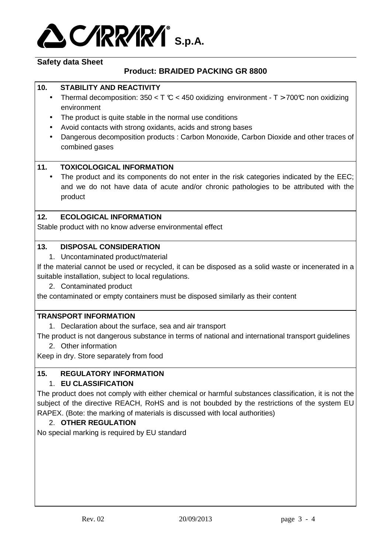

# **Product: BRAIDED PACKING GR 8800**

### **10. STABILITY AND REACTIVITY**

- Thermal decomposition:  $350 < T \mathbb{C} < 450$  oxidizing environment T > 700°C non oxidizing environment
- The product is quite stable in the normal use conditions
- Avoid contacts with strong oxidants, acids and strong bases
- Dangerous decomposition products : Carbon Monoxide, Carbon Dioxide and other traces of combined gases

#### **11. TOXICOLOGICAL INFORMATION**

The product and its components do not enter in the risk categories indicated by the EEC; and we do not have data of acute and/or chronic pathologies to be attributed with the product

#### **12. ECOLOGICAL INFORMATION**

Stable product with no know adverse environmental effect

#### **13. DISPOSAL CONSIDERATION**

1. Uncontaminated product/material

If the material cannot be used or recycled, it can be disposed as a solid waste or incenerated in a suitable installation, subject to local regulations.

2. Contaminated product

the contaminated or empty containers must be disposed similarly as their content

### **TRANSPORT INFORMATION**

1. Declaration about the surface, sea and air transport

The product is not dangerous substance in terms of national and international transport guidelines 2. Other information

Keep in dry. Store separately from food

#### **15. REGULATORY INFORMATION**

#### 1. **EU CLASSIFICATION**

The product does not comply with either chemical or harmful substances classification, it is not the subject of the directive REACH, RoHS and is not boubded by the restrictions of the system EU RAPEX. (Bote: the marking of materials is discussed with local authorities)

#### 2. **OTHER REGULATION**

No special marking is required by EU standard